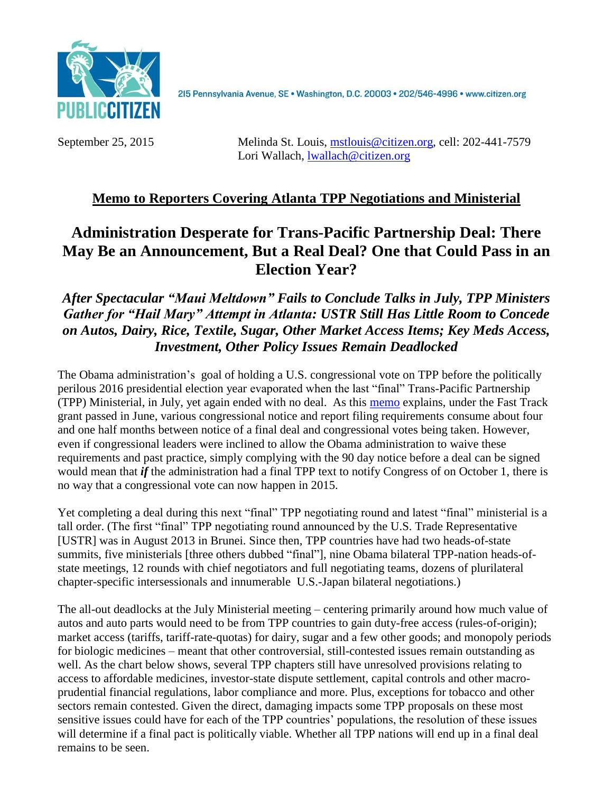

215 Pennsylvania Avenue, SE · Washington, D.C. 20003 · 202/546-4996 · www.citizen.org

September 25, 2015 Melinda St. Louis, [mstlouis@citizen.org,](mailto:mstlouis@citizen.org) cell: 202-441-7579 Lori Wallach, [lwallach@citizen.org](mailto:lwallach@citizen.org)

# **Memo to Reporters Covering Atlanta TPP Negotiations and Ministerial**

# **Administration Desperate for Trans-Pacific Partnership Deal: There May Be an Announcement, But a Real Deal? One that Could Pass in an Election Year?**

# *After Spectacular "Maui Meltdown" Fails to Conclude Talks in July, TPP Ministers Gather for "Hail Mary" Attempt in Atlanta: USTR Still Has Little Room to Concede on Autos, Dairy, Rice, Textile, Sugar, Other Market Access Items; Key Meds Access, Investment, Other Policy Issues Remain Deadlocked*

The Obama administration's goal of holding a U.S. congressional vote on TPP before the politically perilous 2016 presidential election year evaporated when the last "final" Trans-Pacific Partnership (TPP) Ministerial, in July, yet again ended with no deal. As this [memo](http://www.citizen.org/documents/tpp-vote-calendar-october-2-2015.pdf) explains, under the Fast Track grant passed in June, various congressional notice and report filing requirements consume about four and one half months between notice of a final deal and congressional votes being taken. However, even if congressional leaders were inclined to allow the Obama administration to waive these requirements and past practice, simply complying with the 90 day notice before a deal can be signed would mean that *if* the administration had a final TPP text to notify Congress of on October 1, there is no way that a congressional vote can now happen in 2015.

Yet completing a deal during this next "final" TPP negotiating round and latest "final" ministerial is a tall order. (The first "final" TPP negotiating round announced by the U.S. Trade Representative [USTR] was in August 2013 in Brunei. Since then, TPP countries have had two heads-of-state summits, five ministerials [three others dubbed "final"], nine Obama bilateral TPP-nation heads-ofstate meetings, 12 rounds with chief negotiators and full negotiating teams, dozens of plurilateral chapter-specific intersessionals and innumerable U.S.-Japan bilateral negotiations.)

The all-out deadlocks at the July Ministerial meeting – centering primarily around how much value of autos and auto parts would need to be from TPP countries to gain duty-free access (rules-of-origin); market access (tariffs, tariff-rate-quotas) for dairy, sugar and a few other goods; and monopoly periods for biologic medicines – meant that other controversial, still-contested issues remain outstanding as well. As the chart below shows, several TPP chapters still have unresolved provisions relating to access to affordable medicines, investor-state dispute settlement, capital controls and other macroprudential financial regulations, labor compliance and more. Plus, exceptions for tobacco and other sectors remain contested. Given the direct, damaging impacts some TPP proposals on these most sensitive issues could have for each of the TPP countries' populations, the resolution of these issues will determine if a final pact is politically viable. Whether all TPP nations will end up in a final deal remains to be seen.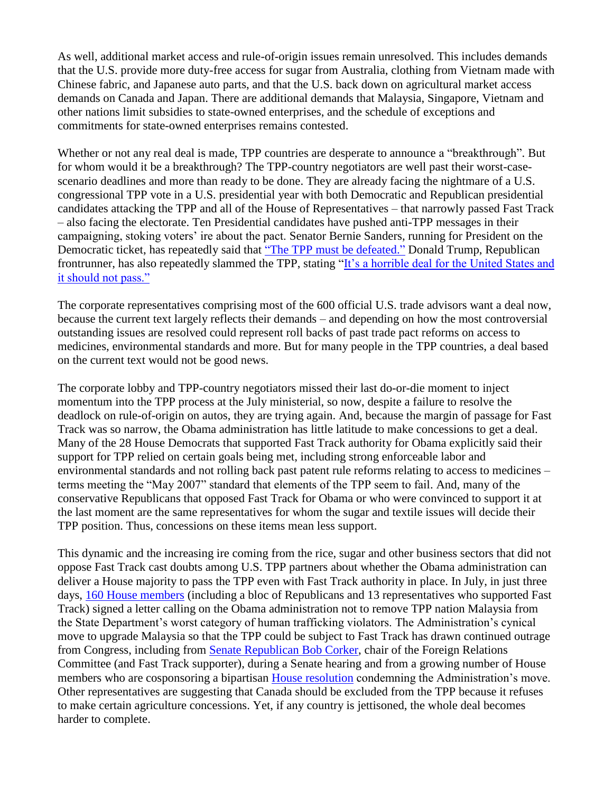As well, additional market access and rule-of-origin issues remain unresolved. This includes demands that the U.S. provide more duty-free access for sugar from Australia, clothing from Vietnam made with Chinese fabric, and Japanese auto parts, and that the U.S. back down on agricultural market access demands on Canada and Japan. There are additional demands that Malaysia, Singapore, Vietnam and other nations limit subsidies to state-owned enterprises, and the schedule of exceptions and commitments for state-owned enterprises remains contested.

Whether or not any real deal is made, TPP countries are desperate to announce a "breakthrough". But for whom would it be a breakthrough? The TPP-country negotiators are well past their worst-casescenario deadlines and more than ready to be done. They are already facing the nightmare of a U.S. congressional TPP vote in a U.S. presidential year with both Democratic and Republican presidential candidates attacking the TPP and all of the House of Representatives – that narrowly passed Fast Track – also facing the electorate. Ten Presidential candidates have pushed anti-TPP messages in their campaigning, stoking voters' ire about the pact. Senator Bernie Sanders, running for President on the Democratic ticket, has repeatedly said that ["The TPP must be defeated."](http://www.huffingtonpost.com/rep-bernie-sanders/the-tpp-must-be-defeated_b_7352166.html) Donald Trump, Republican frontrunner, has also repeatedly slammed the TPP, stating ["It's a horrible deal for the United States and](http://www.breitbart.com/big-government/2015/05/08/exclusive-donald-trump-disaster-trade-deal-empowers-americas-enemies-another-sign-country-is-going-to-hell/)  [it should not pass."](http://www.breitbart.com/big-government/2015/05/08/exclusive-donald-trump-disaster-trade-deal-empowers-americas-enemies-another-sign-country-is-going-to-hell/)

The corporate representatives comprising most of the 600 official U.S. trade advisors want a deal now, because the current text largely reflects their demands – and depending on how the most controversial outstanding issues are resolved could represent roll backs of past trade pact reforms on access to medicines, environmental standards and more. But for many people in the TPP countries, a deal based on the current text would not be good news.

The corporate lobby and TPP-country negotiators missed their last do-or-die moment to inject momentum into the TPP process at the July ministerial, so now, despite a failure to resolve the deadlock on rule-of-origin on autos, they are trying again. And, because the margin of passage for Fast Track was so narrow, the Obama administration has little latitude to make concessions to get a deal. Many of the 28 House Democrats that supported Fast Track authority for Obama explicitly said their support for TPP relied on certain goals being met, including strong enforceable labor and environmental standards and not rolling back past patent rule reforms relating to access to medicines – terms meeting the "May 2007" standard that elements of the TPP seem to fail. And, many of the conservative Republicans that opposed Fast Track for Obama or who were convinced to support it at the last moment are the same representatives for whom the sugar and textile issues will decide their TPP position. Thus, concessions on these items mean less support.

This dynamic and the increasing ire coming from the rice, sugar and other business sectors that did not oppose Fast Track cast doubts among U.S. TPP partners about whether the Obama administration can deliver a House majority to pass the TPP even with Fast Track authority in place. In July, in just three days, [160 House members](http://democrats.waysandmeans.house.gov/press-release/160-members-congress-call-state-department-not-upgrade-malaysia-ranking-2015) (including a bloc of Republicans and 13 representatives who supported Fast Track) signed a letter calling on the Obama administration not to remove TPP nation Malaysia from the State Department's worst category of human trafficking violators. The Administration's cynical move to upgrade Malaysia so that the TPP could be subject to Fast Track has drawn continued outrage from Congress, including from [Senate Republican Bob Corker,](http://www.foreign.senate.gov/press/chair/release/corker-fears-politicization-of-state-departments-2015-human-trafficking-report-over-questionable-upgrades-) chair of the Foreign Relations Committee (and Fast Track supporter), during a Senate hearing and from a growing number of House members who are cosponsoring a bipartisan [House resolution](http://www.gpo.gov/fdsys/pkg/BILLS-114hconres65ih/pdf/BILLS-114hconres65ih.pdf) condemning the Administration's move. Other representatives are suggesting that Canada should be excluded from the TPP because it refuses to make certain agriculture concessions. Yet, if any country is jettisoned, the whole deal becomes harder to complete.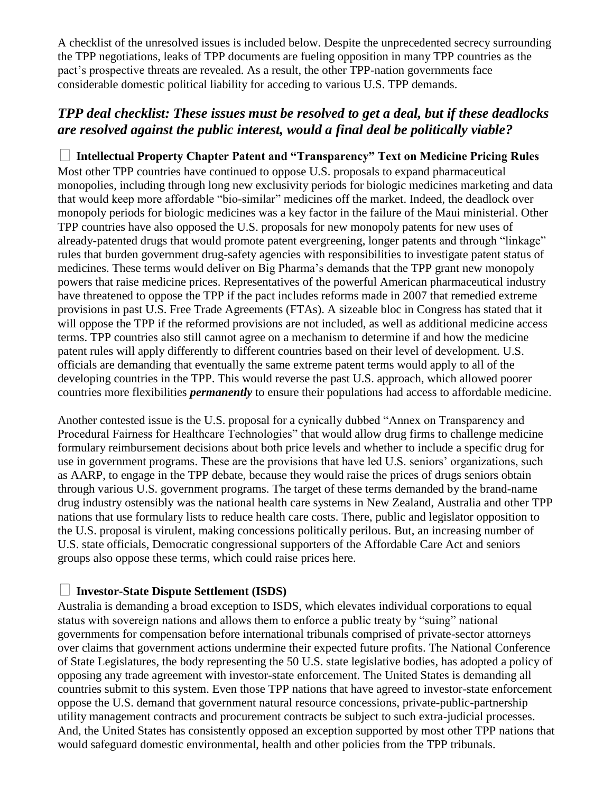A checklist of the unresolved issues is included below. Despite the unprecedented secrecy surrounding the TPP negotiations, leaks of TPP documents are fueling opposition in many TPP countries as the pact's prospective threats are revealed. As a result, the other TPP-nation governments face considerable domestic political liability for acceding to various U.S. TPP demands.

## *TPP deal checklist: These issues must be resolved to get a deal, but if these deadlocks are resolved against the public interest, would a final deal be politically viable?*

**Intellectual Property Chapter Patent and "Transparency" Text on Medicine Pricing Rules**  Most other TPP countries have continued to oppose U.S. proposals to expand pharmaceutical monopolies, including through long new exclusivity periods for biologic medicines marketing and data that would keep more affordable "bio-similar" medicines off the market. Indeed, the deadlock over monopoly periods for biologic medicines was a key factor in the failure of the Maui ministerial. Other TPP countries have also opposed the U.S. proposals for new monopoly patents for new uses of already-patented drugs that would promote patent evergreening, longer patents and through "linkage" rules that burden government drug-safety agencies with responsibilities to investigate patent status of medicines. These terms would deliver on Big Pharma's demands that the TPP grant new monopoly powers that raise medicine prices. Representatives of the powerful American pharmaceutical industry have threatened to oppose the TPP if the pact includes reforms made in 2007 that remedied extreme provisions in past U.S. Free Trade Agreements (FTAs). A sizeable bloc in Congress has stated that it will oppose the TPP if the reformed provisions are not included, as well as additional medicine access terms. TPP countries also still cannot agree on a mechanism to determine if and how the medicine patent rules will apply differently to different countries based on their level of development. U.S. officials are demanding that eventually the same extreme patent terms would apply to all of the developing countries in the TPP. This would reverse the past U.S. approach, which allowed poorer countries more flexibilities *permanently* to ensure their populations had access to affordable medicine.

Another contested issue is the U.S. proposal for a cynically dubbed "Annex on Transparency and Procedural Fairness for Healthcare Technologies" that would allow drug firms to challenge medicine formulary reimbursement decisions about both price levels and whether to include a specific drug for use in government programs. These are the provisions that have led U.S. seniors' organizations, such as AARP, to engage in the TPP debate, because they would raise the prices of drugs seniors obtain through various U.S. government programs. The target of these terms demanded by the brand-name drug industry ostensibly was the national health care systems in New Zealand, Australia and other TPP nations that use formulary lists to reduce health care costs. There, public and legislator opposition to the U.S. proposal is virulent, making concessions politically perilous. But, an increasing number of U.S. state officials, Democratic congressional supporters of the Affordable Care Act and seniors groups also oppose these terms, which could raise prices here.

#### **Investor-State Dispute Settlement (ISDS)**

Australia is demanding a broad exception to ISDS, which elevates individual corporations to equal status with sovereign nations and allows them to enforce a public treaty by "suing" national governments for compensation before international tribunals comprised of private-sector attorneys over claims that government actions undermine their expected future profits. The National Conference of State Legislatures, the body representing the 50 U.S. state legislative bodies, has adopted a policy of opposing any trade agreement with investor-state enforcement. The United States is demanding all countries submit to this system. Even those TPP nations that have agreed to investor-state enforcement oppose the U.S. demand that government natural resource concessions, private-public-partnership utility management contracts and procurement contracts be subject to such extra-judicial processes. And, the United States has consistently opposed an exception supported by most other TPP nations that would safeguard domestic environmental, health and other policies from the TPP tribunals.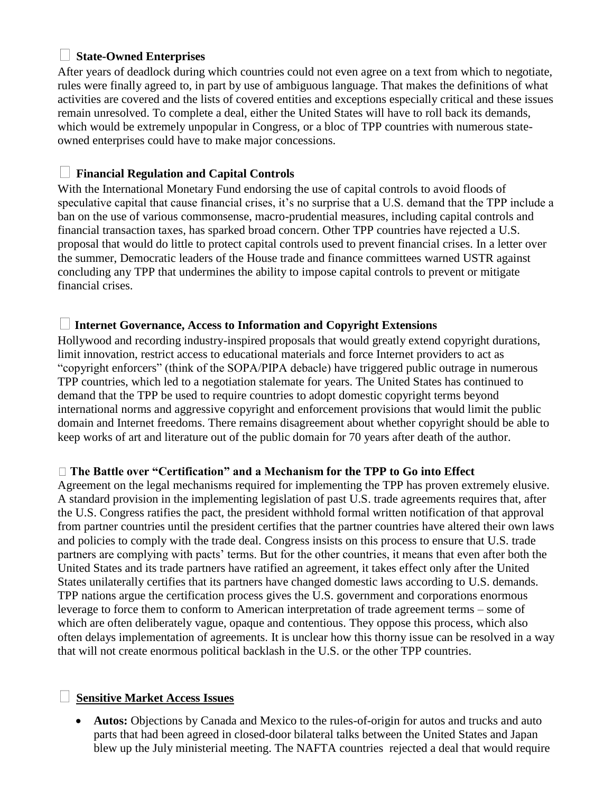## **State-Owned Enterprises**

After years of deadlock during which countries could not even agree on a text from which to negotiate, rules were finally agreed to, in part by use of ambiguous language. That makes the definitions of what activities are covered and the lists of covered entities and exceptions especially critical and these issues remain unresolved. To complete a deal, either the United States will have to roll back its demands, which would be extremely unpopular in Congress, or a bloc of TPP countries with numerous stateowned enterprises could have to make major concessions.

## **Financial Regulation and Capital Controls**

With the International Monetary Fund endorsing the use of capital controls to avoid floods of speculative capital that cause financial crises, it's no surprise that a U.S. demand that the TPP include a ban on the use of various commonsense, macro-prudential measures, including capital controls and financial transaction taxes, has sparked broad concern. Other TPP countries have rejected a U.S. proposal that would do little to protect capital controls used to prevent financial crises. In a letter over the summer, Democratic leaders of the House trade and finance committees warned USTR against concluding any TPP that undermines the ability to impose capital controls to prevent or mitigate financial crises.

#### **Internet Governance, Access to Information and Copyright Extensions**

Hollywood and recording industry-inspired proposals that would greatly extend copyright durations, limit innovation, restrict access to educational materials and force Internet providers to act as "copyright enforcers" (think of the SOPA/PIPA debacle) have triggered public outrage in numerous TPP countries, which led to a negotiation stalemate for years. The United States has continued to demand that the TPP be used to require countries to adopt domestic copyright terms beyond international norms and aggressive copyright and enforcement provisions that would limit the public domain and Internet freedoms. There remains disagreement about whether copyright should be able to keep works of art and literature out of the public domain for 70 years after death of the author.

#### **The Battle over "Certification" and a Mechanism for the TPP to Go into Effect**

Agreement on the legal mechanisms required for implementing the TPP has proven extremely elusive. A standard provision in the implementing legislation of past U.S. trade agreements requires that, after the U.S. Congress ratifies the pact, the president withhold formal written notification of that approval from partner countries until the president certifies that the partner countries have altered their own laws and policies to comply with the trade deal. Congress insists on this process to ensure that U.S. trade partners are complying with pacts' terms. But for the other countries, it means that even after both the United States and its trade partners have ratified an agreement, it takes effect only after the United States unilaterally certifies that its partners have changed domestic laws according to U.S. demands. TPP nations argue the certification process gives the U.S. government and corporations enormous leverage to force them to conform to American interpretation of trade agreement terms – some of which are often deliberately vague, opaque and contentious. They oppose this process, which also often delays implementation of agreements. It is unclear how this thorny issue can be resolved in a way that will not create enormous political backlash in the U.S. or the other TPP countries.

## **Sensitive Market Access Issues**

• **Autos:** Objections by Canada and Mexico to the rules-of-origin for autos and trucks and auto parts that had been agreed in closed-door bilateral talks between the United States and Japan blew up the July ministerial meeting. The NAFTA countries rejected a deal that would require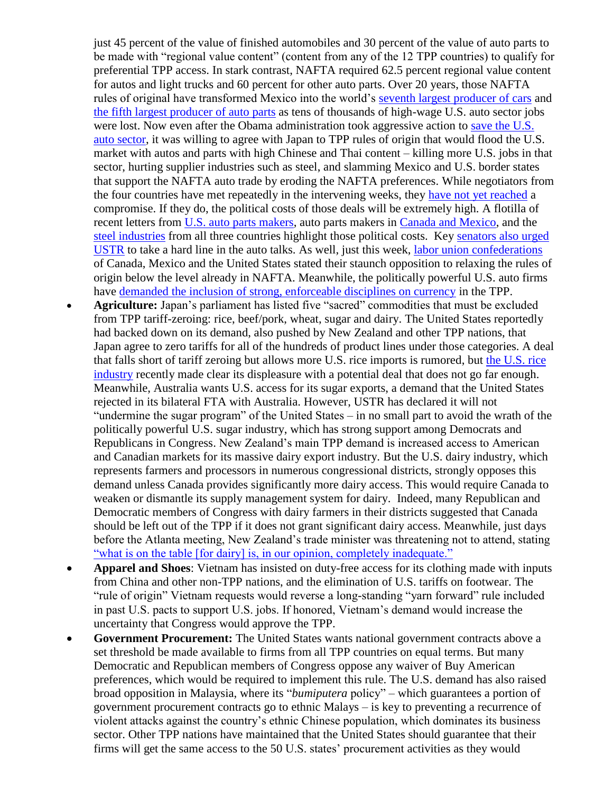just 45 percent of the value of finished automobiles and 30 percent of the value of auto parts to be made with "regional value content" (content from any of the 12 TPP countries) to qualify for preferential TPP access. In stark contrast, NAFTA required 62.5 percent regional value content for autos and light trucks and 60 percent for other auto parts. Over 20 years, those NAFTA rules of original have transformed Mexico into the world's [seventh largest producer of cars](http://www.wsj.com/articles/why-auto-makers-are-building-new-factories-in-mexico-not-the-u-s-1426645802) and [the fifth largest producer of auto parts](http://www.oesa.org/Doc-Vault/Knowledge-Center/Intl-Markets-and-Trade-Content/ProMexico-Auto-Parts.pdf) as tens of thousands of high-wage U.S. auto sector jobs were lost. Now even after the Obama administration took aggressive action to [save the U.S.](http://www.detroitnews.com/story/business/autos/2015/01/06/obama-auto-turnaround/21367431/)  [auto sector,](http://www.detroitnews.com/story/business/autos/2015/01/06/obama-auto-turnaround/21367431/) it was willing to agree with Japan to TPP rules of origin that would flood the U.S. market with autos and parts with high Chinese and Thai content – killing more U.S. jobs in that sector, hurting supplier industries such as steel, and slamming Mexico and U.S. border states that support the NAFTA auto trade by eroding the NAFTA preferences. While negotiators from the four countries have met repeatedly in the intervening weeks, they [have not yet reached](http://www.theglobeandmail.com/news/politics/canada-confirms-presence-at-tpp-talks-in-atlanta/article26511138/) a compromise. If they do, the political costs of those deals will be extremely high. A flotilla of recent letters from [U.S. auto parts makers,](http://www.mema.org/Main-Menu/Industry-News/MEMA-Industry-News/September-2015/September-25-2015/MEMA-Urges-USTR.html) auto parts makers in [Canada and Mexico,](https://apma.ca/) and the [steel industries](http://www.steel.org/~/media/Files/AISI/Public%20Policy/Letters/Joint_Letter_TPP-RVC_Sept_21_2015_signed.pdf) from all three countries highlight those political costs. Key [senators also urged](http://www.detroitnews.com/story/business/autos/2015/09/10/auto-trade-talks/72006270/)  [USTR](http://www.detroitnews.com/story/business/autos/2015/09/10/auto-trade-talks/72006270/) to take a hard line in the auto talks. As well, just this week, [labor union confederations](http://www.aflcio.org/Press-Room/Press-Releases/No-Amount-of-Negotiations-Make-TPP-a-Good-Deal-for-Working-People) of Canada, Mexico and the United States stated their staunch opposition to relaxing the rules of origin below the level already in NAFTA. Meanwhile, the politically powerful U.S. auto firms have [demanded the inclusion of strong, enforceable disciplines on currency](http://americanautocouncil.org/sites/default/files/tpp/Proposed%20Currency%20Summary%20FINAL.pdf) in the TPP.

- **Agriculture:** Japan's parliament has listed five "sacred" commodities that must be excluded from TPP tariff-zeroing: rice, beef/pork, wheat, sugar and dairy. The United States reportedly had backed down on its demand, also pushed by New Zealand and other TPP nations, that Japan agree to zero tariffs for all of the hundreds of product lines under those categories. A deal that falls short of tariff zeroing but allows more U.S. rice imports is rumored, but [the U.S. rice](http://insidetrade.com/login-redirect-no-cookie?n=149886&destination=node/149886)  [industry](http://insidetrade.com/login-redirect-no-cookie?n=149886&destination=node/149886) recently made clear its displeasure with a potential deal that does not go far enough. Meanwhile, Australia wants U.S. access for its sugar exports, a demand that the United States rejected in its bilateral FTA with Australia. However, USTR has declared it will not "undermine the sugar program" of the United States – in no small part to avoid the wrath of the politically powerful U.S. sugar industry, which has strong support among Democrats and Republicans in Congress. New Zealand's main TPP demand is increased access to American and Canadian markets for its massive dairy export industry. But the U.S. dairy industry, which represents farmers and processors in numerous congressional districts, strongly opposes this demand unless Canada provides significantly more dairy access. This would require Canada to weaken or dismantle its supply management system for dairy. Indeed, many Republican and Democratic members of Congress with dairy farmers in their districts suggested that Canada should be left out of the TPP if it does not grant significant dairy access. Meanwhile, just days before the Atlanta meeting, New Zealand's trade minister was threatening not to attend, stating "what [is on the table \[for dairy\] is, in our opinion, completely inadequate."](http://www.radionz.co.nz/news/political/285237/groser-unsure-whether-tpp-meeting-worthwhile)
- **Apparel and Shoes**: Vietnam has insisted on duty-free access for its clothing made with inputs from China and other non-TPP nations, and the elimination of U.S. tariffs on footwear. The "rule of origin" Vietnam requests would reverse a long-standing "yarn forward" rule included in past U.S. pacts to support U.S. jobs. If honored, Vietnam's demand would increase the uncertainty that Congress would approve the TPP.
- **Government Procurement:** The United States wants national government contracts above a set threshold be made available to firms from all TPP countries on equal terms. But many Democratic and Republican members of Congress oppose any waiver of Buy American preferences, which would be required to implement this rule. The U.S. demand has also raised broad opposition in Malaysia, where its "*bumiputera* policy" – which guarantees a portion of government procurement contracts go to ethnic Malays – is key to preventing a recurrence of violent attacks against the country's ethnic Chinese population, which dominates its business sector. Other TPP nations have maintained that the United States should guarantee that their firms will get the same access to the 50 U.S. states' procurement activities as they would